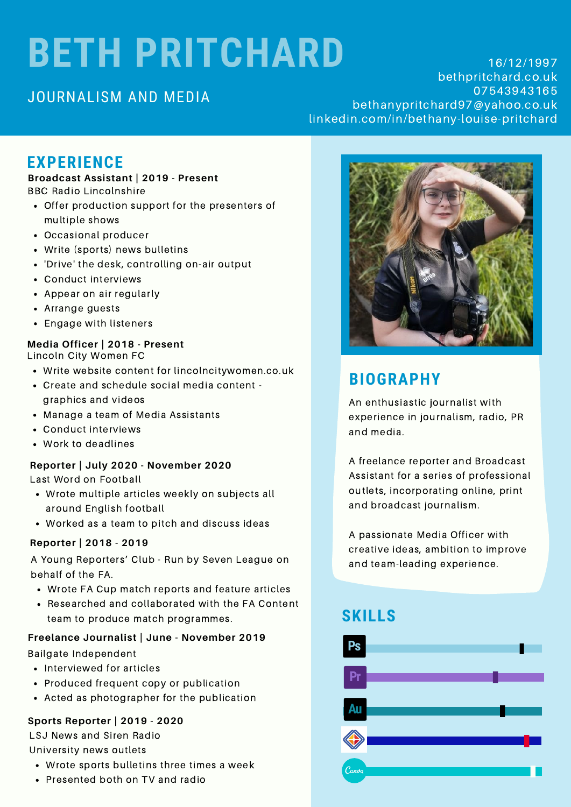# **BETH PRITCHARD**

## JOURNALISM AND MEDIA

16/12/1997 bethpritchard.co.uk 07543943165 bethanypritchard97@yahoo.co.uk linkedin.com/in/bethany-louise-pritchard

# **EXPERIENCE**

### **Broadcast Assistant | 2019 - Present**

BBC Radio Lincolnshire

- Offer production support for the presenters of multiple shows
- Occasional producer
- Write (sports) news bulletins
- 'Drive' the desk, controlling on-air output
- Conduct interviews
- Appear on air regularly
- Arrange guests
- Engage with listeners

## **Media Officer | 2018 - Present**

Lincoln City Women FC

- Write website content for lincolncitywomen.co.uk
- Create and schedule social media content graphics and videos
- Manage a team of Media Assistants
- Conduct interviews
- Work to deadlines

## **Reporter | July 2020 - November 2020**

Last Word on Football

- Wrote multiple articles weekly on subjects all around English football
- Worked as a team to pitch and discuss ideas

## **Reporter | 2018 - 2019**

A Young Reporters' Club - Run by Seven League on behalf of the FA.

- Wrote FA Cup match reports and feature articles
- Researched and collaborated with the FA Content team to produce match programmes.

## **Freelance Journalist | June - November 2019**

Bailgate Independent

- Interviewed for articles
- Produced frequent copy or publication
- Acted as photographer for the publication

## **Sports Reporter | 2019 - 2020**

LSJ News and Siren Radio University news outlets

- Wrote sports bulletins three times a week
- Presented both on TV and radio



# **BIOGRAPHY**

An enthusiastic journalist with experience in journalism, radio, PR and media.

A freelance reporter and Broadcast Assistant for a series of professional outlets, incorporating online, print and broadcast journalism.

A passionate Media Officer with creative ideas, ambition to improve and team-leading experience.

# **SKILLS**